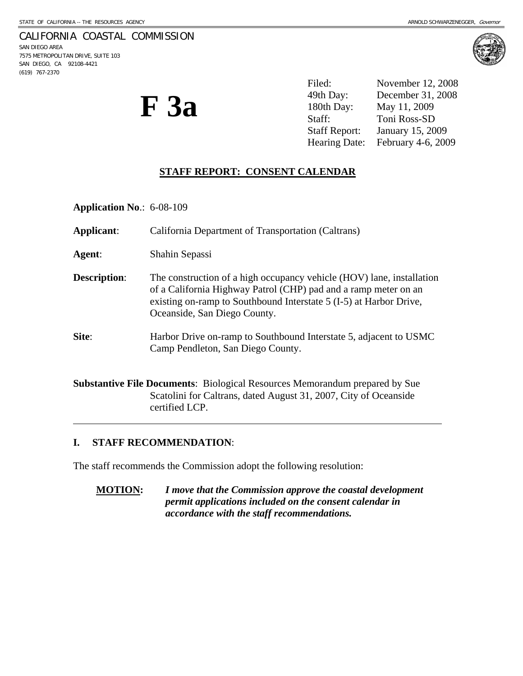### CALIFORNIA COASTAL COMMISSION

SAN DIEGO AREA 7575 METROPOLITAN DRIVE, SUITE 103 SAN DIEGO, CA 92108-4421 (619) 767-2370

 $\overline{a}$ 



**F 3a** 

Filed: November 12, 2008 49th Day: December 31, 2008 180th Day: May 11, 2009 Staff: Toni Ross-SD Staff Report: January 15, 2009 Hearing Date: February 4-6, 2009

# **STAFF REPORT: CONSENT CALENDAR**

**Application No**.: 6-08-109

**Applicant**: California Department of Transportation (Caltrans) **Agent**: Shahin Sepassi **Description:** The construction of a high occupancy vehicle (HOV) lane, installation of a California Highway Patrol (CHP) pad and a ramp meter on an existing on-ramp to Southbound Interstate 5 (I-5) at Harbor Drive, Oceanside, San Diego County. **Site:** Harbor Drive on-ramp to Southbound Interstate 5, adjacent to USMC Camp Pendleton, San Diego County. **Substantive File Documents**: Biological Resources Memorandum prepared by Sue Scatolini for Caltrans, dated August 31, 2007, City of Oceanside certified LCP.

## **I. STAFF RECOMMENDATION**:

The staff recommends the Commission adopt the following resolution:

**MOTION:** *I move that the Commission approve the coastal development permit applications included on the consent calendar in accordance with the staff recommendations.*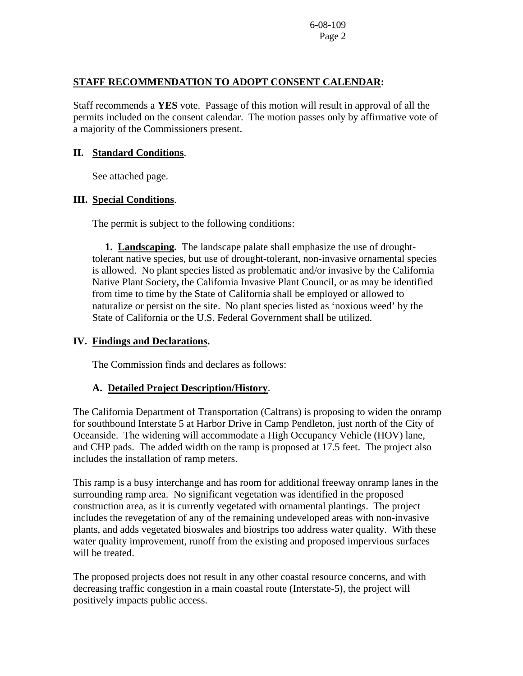#### **STAFF RECOMMENDATION TO ADOPT CONSENT CALENDAR:**

Staff recommends a **YES** vote. Passage of this motion will result in approval of all the permits included on the consent calendar. The motion passes only by affirmative vote of a majority of the Commissioners present.

#### **II. Standard Conditions**.

See attached page.

## **III. Special Conditions**.

The permit is subject to the following conditions:

 **1. Landscaping.** The landscape palate shall emphasize the use of droughttolerant native species, but use of drought-tolerant, non-invasive ornamental species is allowed. No plant species listed as problematic and/or invasive by the California Native Plant Society**,** the California Invasive Plant Council, or as may be identified from time to time by the State of California shall be employed or allowed to naturalize or persist on the site. No plant species listed as 'noxious weed' by the State of California or the U.S. Federal Government shall be utilized.

### **IV. Findings and Declarations.**

The Commission finds and declares as follows:

#### **A. Detailed Project Description/History**.

The California Department of Transportation (Caltrans) is proposing to widen the onramp for southbound Interstate 5 at Harbor Drive in Camp Pendleton, just north of the City of Oceanside. The widening will accommodate a High Occupancy Vehicle (HOV) lane, and CHP pads. The added width on the ramp is proposed at 17.5 feet. The project also includes the installation of ramp meters.

This ramp is a busy interchange and has room for additional freeway onramp lanes in the surrounding ramp area. No significant vegetation was identified in the proposed construction area, as it is currently vegetated with ornamental plantings. The project includes the revegetation of any of the remaining undeveloped areas with non-invasive plants, and adds vegetated bioswales and biostrips too address water quality. With these water quality improvement, runoff from the existing and proposed impervious surfaces will be treated.

The proposed projects does not result in any other coastal resource concerns, and with decreasing traffic congestion in a main coastal route (Interstate-5), the project will positively impacts public access.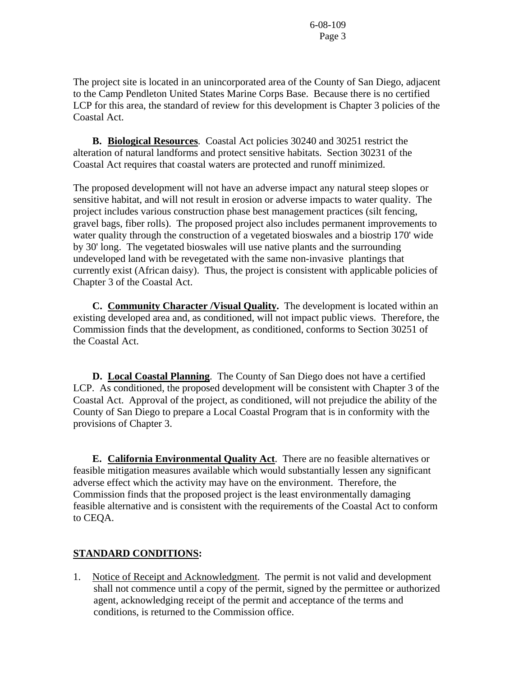The project site is located in an unincorporated area of the County of San Diego, adjacent to the Camp Pendleton United States Marine Corps Base. Because there is no certified LCP for this area, the standard of review for this development is Chapter 3 policies of the Coastal Act.

**B. Biological Resources**. Coastal Act policies 30240 and 30251 restrict the alteration of natural landforms and protect sensitive habitats. Section 30231 of the Coastal Act requires that coastal waters are protected and runoff minimized.

The proposed development will not have an adverse impact any natural steep slopes or sensitive habitat, and will not result in erosion or adverse impacts to water quality. The project includes various construction phase best management practices (silt fencing, gravel bags, fiber rolls). The proposed project also includes permanent improvements to water quality through the construction of a vegetated bioswales and a biostrip 170' wide by 30' long. The vegetated bioswales will use native plants and the surrounding undeveloped land with be revegetated with the same non-invasive plantings that currently exist (African daisy). Thus, the project is consistent with applicable policies of Chapter 3 of the Coastal Act.

 **C. Community Character /Visual Quality.** The development is located within an existing developed area and, as conditioned, will not impact public views. Therefore, the Commission finds that the development, as conditioned, conforms to Section 30251 of the Coastal Act.

**D. Local Coastal Planning**. The County of San Diego does not have a certified LCP. As conditioned, the proposed development will be consistent with Chapter 3 of the Coastal Act. Approval of the project, as conditioned, will not prejudice the ability of the County of San Diego to prepare a Local Coastal Program that is in conformity with the provisions of Chapter 3.

 **E. California Environmental Quality Act**. There are no feasible alternatives or feasible mitigation measures available which would substantially lessen any significant adverse effect which the activity may have on the environment. Therefore, the Commission finds that the proposed project is the least environmentally damaging feasible alternative and is consistent with the requirements of the Coastal Act to conform to CEQA.

## **STANDARD CONDITIONS:**

1. Notice of Receipt and Acknowledgment. The permit is not valid and development shall not commence until a copy of the permit, signed by the permittee or authorized agent, acknowledging receipt of the permit and acceptance of the terms and conditions, is returned to the Commission office.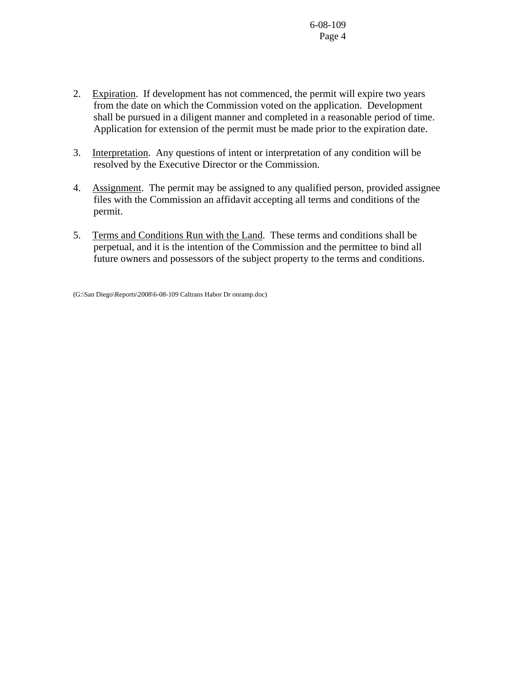- 2. Expiration. If development has not commenced, the permit will expire two years from the date on which the Commission voted on the application. Development shall be pursued in a diligent manner and completed in a reasonable period of time. Application for extension of the permit must be made prior to the expiration date.
- 3. Interpretation. Any questions of intent or interpretation of any condition will be resolved by the Executive Director or the Commission.
- 4. Assignment. The permit may be assigned to any qualified person, provided assignee files with the Commission an affidavit accepting all terms and conditions of the permit.
- 5. Terms and Conditions Run with the Land. These terms and conditions shall be perpetual, and it is the intention of the Commission and the permittee to bind all future owners and possessors of the subject property to the terms and conditions.

(G:\San Diego\Reports\2008\6-08-109 Caltrans Habor Dr onramp.doc)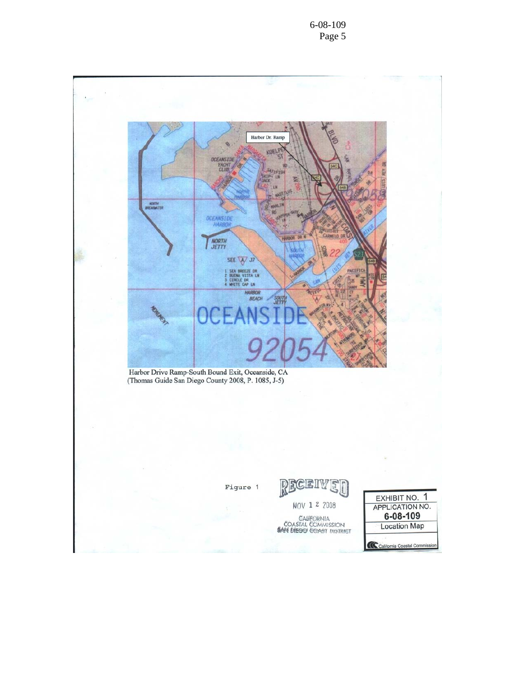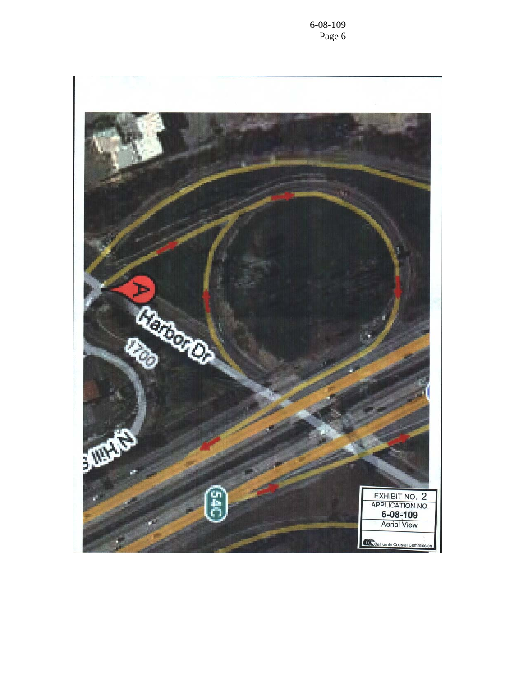